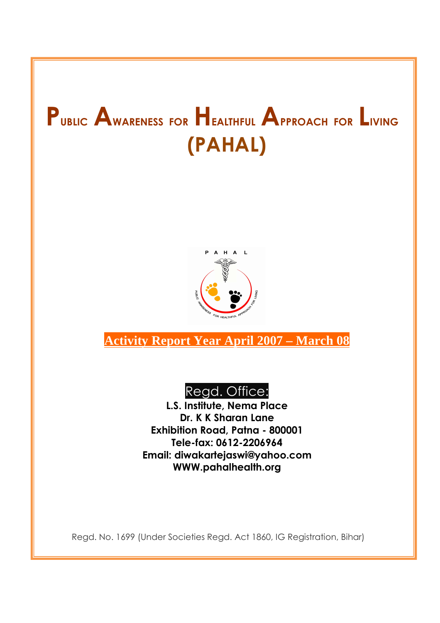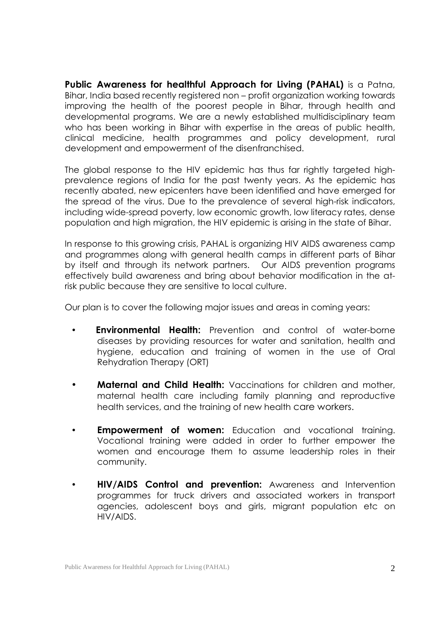**Public Awareness for healthful Approach for Living (PAHAL)** is a Patna, Bihar, India based recently registered non – profit organization working towards improving the health of the poorest people in Bihar, through health and developmental programs. We are a newly established multidisciplinary team who has been working in Bihar with expertise in the areas of public health, clinical medicine, health programmes and policy development, rural development and empowerment of the disenfranchised.

The global response to the HIV epidemic has thus far rightly targeted highprevalence regions of India for the past twenty years. As the epidemic has recently abated, new epicenters have been identified and have emerged for the spread of the virus. Due to the prevalence of several high-risk indicators, including wide-spread poverty, low economic growth, low literacy rates, dense population and high migration, the HIV epidemic is arising in the state of Bihar.

In response to this growing crisis, PAHAL is organizing HIV AIDS awareness camp and programmes along with general health camps in different parts of Bihar by itself and through its network partners. Our AIDS prevention programs effectively build awareness and bring about behavior modification in the atrisk public because they are sensitive to local culture.

Our plan is to cover the following major issues and areas in coming years:

- **Environmental Health:** Prevention and control of water-borne diseases by providing resources for water and sanitation, health and hygiene, education and training of women in the use of Oral Rehydration Therapy (ORT)
- **Maternal and Child Health:** Vaccinations for children and mother, maternal health care including family planning and reproductive health services, and the training of new health care workers.
- **Empowerment of women:** Education and vocational training. Vocational training were added in order to further empower the women and encourage them to assume leadership roles in their community.
- • **HIV/AIDS Control and prevention:** Awareness and Intervention programmes for truck drivers and associated workers in transport agencies, adolescent boys and girls, migrant population etc on HIV/AIDS.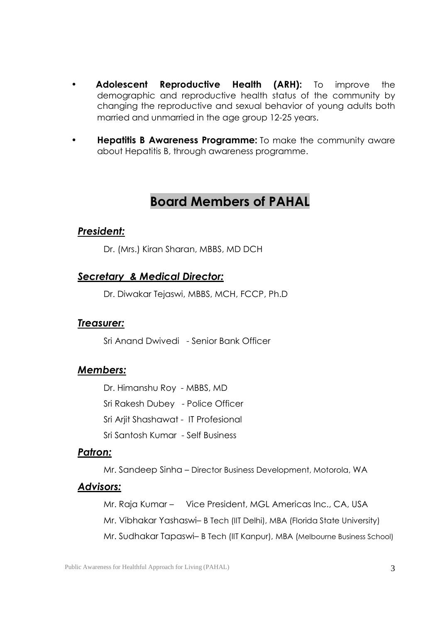- **Adolescent Reproductive Health (ARH):** To improve the demographic and reproductive health status of the community by changing the reproductive and sexual behavior of young adults both married and unmarried in the age group 12-25 years.
- **Hepatitis B Awareness Programme:** To make the community aware about Hepatitis B, through awareness programme.

## **Board Members of PAHAL**

## *President:*

Dr. (Mrs.) Kiran Sharan, MBBS, MD DCH

## *Secretary & Medical Director:*

Dr. Diwakar Tejaswi, MBBS, MCH, FCCP, Ph.D

## *Treasurer:*

Sri Anand Dwivedi - Senior Bank Officer

## *Members:*

 Dr. Himanshu Roy - MBBS, MD Sri Rakesh Dubey - Police Officer Sri Arjit Shashawat - IT Profesional Sri Santosh Kumar - Self Business

## *Patron:*

Mr. Sandeep Sinha – Director Business Development, Motorola, WA

## *Advisors:*

Mr. Raja Kumar – Vice President, MGL Americas Inc., CA, USA Mr. Vibhakar Yashaswi– B Tech (IIT Delhi), MBA (Florida State University) Mr. Sudhakar Tapaswi– B Tech (IIT Kanpur), MBA (Melbourne Business School)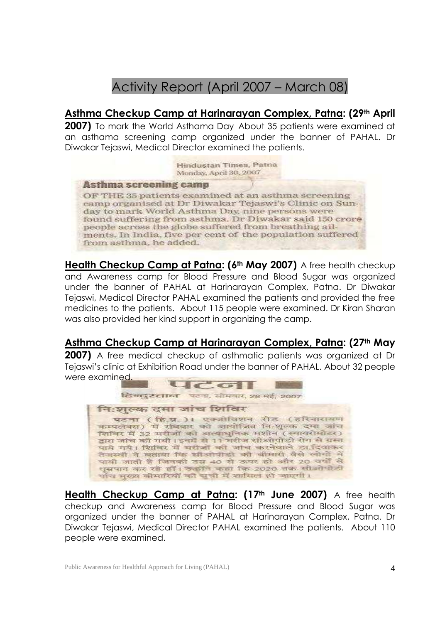# Activity Report (April 2007 – March 08)

## **Asthma Checkup Camp at Harinarayan Complex, Patna: (29th April**

**2007)** To mark the World Asthama Day About 35 patients were examined at an asthama screening camp organized under the banner of PAHAL. Dr Diwakar Tejaswi, Medical Director examined the patients.

> Hindustan Times, Patna Monday, April 30, 2007

#### **Asthma screening camp**

OF THE 35 patients examined at an asthma screening camp organised at Dr Diwakar Tejaswi's Clinic on Sunday to mark World Asthma Day, nine persons were found suffering from asthma. Dr Diwakar said 150 crore people across the globe suffered from breathing ailments. In India, five per cent of the population suffered from asthma, he added.

**Health Checkup Camp at Patna: (6th May 2007)** A free health checkup and Awareness camp for Blood Pressure and Blood Sugar was organized under the banner of PAHAL at Harinarayan Complex, Patna. Dr Diwakar Tejaswi, Medical Director PAHAL examined the patients and provided the free medicines to the patients. About 115 people were examined. Dr Kiran Sharan was also provided her kind support in organizing the camp.

## **Asthma Checkup Camp at Harinarayan Complex, Patna: (27th May**

**2007)** A free medical checkup of asthmatic patients was organized at Dr Tejaswi's clinic at Exhibition Road under the banner of PAHAL. About 32 people were examined.



**Health Checkup Camp at Patna: (17th June 2007)** A free health checkup and Awareness camp for Blood Pressure and Blood Sugar was organized under the banner of PAHAL at Harinarayan Complex, Patna. Dr Diwakar Tejaswi, Medical Director PAHAL examined the patients. About 110 people were examined.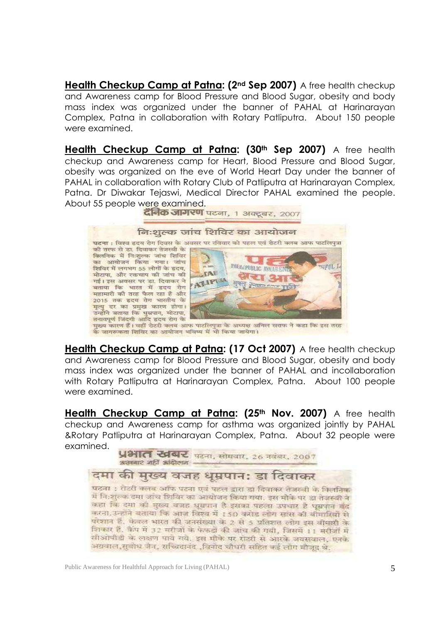**Health Checkup Camp at Patna: (2nd Sep 2007)** A free health checkup and Awareness camp for Blood Pressure and Blood Sugar, obesity and body mass index was organized under the banner of PAHAL at Harinarayan Complex, Patna in collaboration with Rotary Patliputra. About 150 people were examined.

**Health Checkup Camp at Patna: (30th Sep 2007)** A free health checkup and Awareness camp for Heart, Blood Pressure and Blood Sugar, obesity was organized on the eve of World Heart Day under the banner of PAHAL in collaboration with Rotary Club of Patliputra at Harinarayan Complex, Patna. Dr Diwakar Tejaswi, Medical Director PAHAL examined the people. About 55 people were examined.<br>वैनिक जागरण पटना, 1 अक्टूबर, 2007

#### निःशल्क जांच शिविर का आयोजन पटना : विश्व इदय रोग दिवस के अवसर पर रविवार को पहल एवं रोटरी क्लब आफ पाटलिपत्रा की तरफ से डा. दिवाकर तेजस्वी के विलमिक में निःशल्क जांच शिविर का आयोजन किया गया। जांच PRINCIPOBLIC AWARENTS HFU.L  $-20.225$ शिविर में लगभग 55 लोगों के इदय, **TAE** मोटापा, और रक्तचाप की जांच की लेखा ३ ATIPIN गई। इस अवसर पर डा. दिवाकर ने **THE PERSON** बताया कि भारत में इदय रोग महामारी की तरह फैल रहा है और 2015 तक हृदय रोग भारतीय के मृत्यु दर का प्रमुख कारण होगा। उन्होंने बताया कि धुम्रपान, मोटापा, तनावपूर्ण जिंदगी आदि हृदय रोग के

मुख्य कारण हैं। वहीं रोटरी क्लब आफ पाटलिपुत्रा के अध्यक्ष अनिल सराफ ने कहा कि इस तरह के जागरूकता शिविर का आयोजन भविष्य में भी किया जायेगा।

**Health Checkup Camp at Patna: (17 Oct 2007)** A free health checkup and Awareness camp for Blood Pressure and Blood Sugar, obesity and body mass index was organized under the banner of PAHAL and incollaboration with Rotary Patliputra at Harinarayan Complex, Patna. About 100 people were examined.

**Health Checkup Camp at Patna: (25th Nov. 2007)** A free health checkup and Awareness camp for asthma was organized jointly by PAHAL &Rotary Patliputra at Harinarayan Complex, Patna. About 32 people were examined.



## दमा की मुख्य वजह धुम्रपान: डा दिवाकर

पटना : रोटरी क्लब आफ पटना एवं पहल द्वारा डा दिवाकर तेजस्वी के किसनिक में नि:शुरुक दमा जांच शिविर का आयोजन किया गया. इस मौके पर डा तेजस्वी ने कहा कि दमा की मुख्य बजह धूम्रपान है इसका पहला उपचार है घूम्रपान बंद करना उन्होंने बताया कि आज विश्व में 150 करोड़ लोग सांस की बीमारियों से परेशान हैं, केवल भारत की जनसंख्या के 2 से 5 प्रतिशत लोग इस बीपारी के शिकार हैं. कैंप में 32 मरीजों के फेफड़ों की जांच की गयी, जिसमें 11 मरीजों में सीओपीडी के लक्षण पाये गये. इस मौके पर राज्यी से आरके जयसवाल, एनके अग्रवाल,सुबोध जैन, सच्चिदानंद ,बिगेद चौधरी सहित कई लोग बौजूद थे.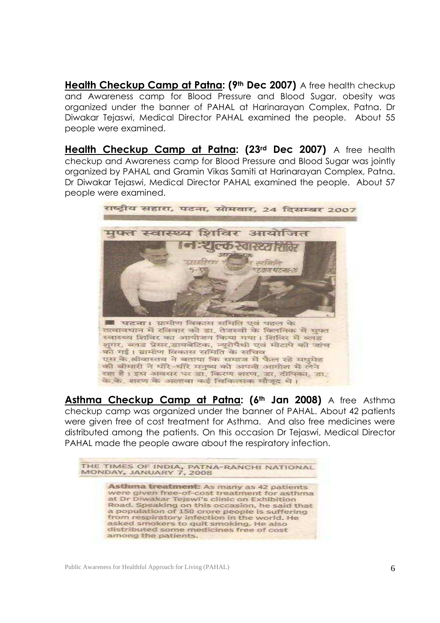**Health Checkup Camp at Patna: (9th Dec 2007)** A free health checkup and Awareness camp for Blood Pressure and Blood Sugar, obesity was organized under the banner of PAHAL at Harinarayan Complex, Patna. Dr Diwakar Tejaswi, Medical Director PAHAL examined the people. About 55 people were examined.

**Health Checkup Camp at Patna: (23rd Dec 2007)** A free health checkup and Awareness camp for Blood Pressure and Blood Sugar was jointly organized by PAHAL and Gramin Vikas Samiti at Harinarayan Complex, Patna. Dr Diwakar Tejaswi, Medical Director PAHAL examined the people. About 57 people were examined.



**Asthma Checkup Camp at Patna: (6th Jan 2008)** A free Asthma checkup camp was organized under the banner of PAHAL. About 42 patients were given free of cost treatment for Asthma. And also free medicines were distributed among the patients. On this occasion Dr Tejaswi, Medical Director PAHAL made the people aware about the respiratory infection.